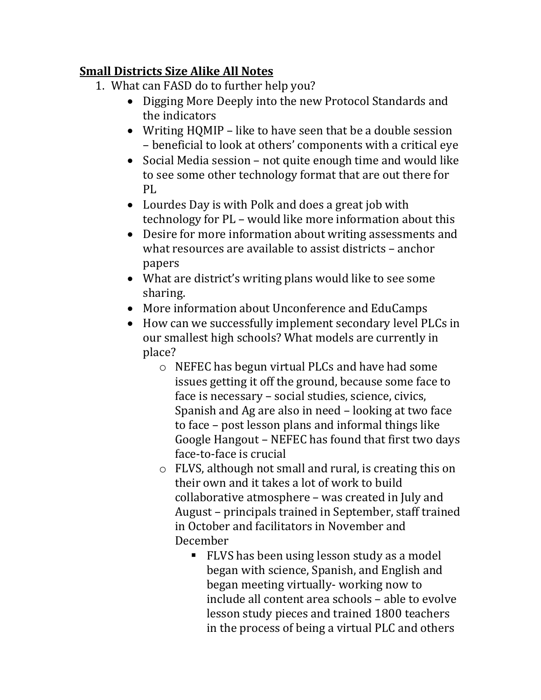## **Small Districts Size Alike All Notes**

- 1. What can FASD do to further help you?
	- Digging More Deeply into the new Protocol Standards and the indicators
	- Writing HQMIP like to have seen that be a double session – beneficial to look at others' components with a critical eye
	- Social Media session not quite enough time and would like to see some other technology format that are out there for PL
	- Lourdes Day is with Polk and does a great job with technology for PL – would like more information about this
	- Desire for more information about writing assessments and what resources are available to assist districts – anchor papers
	- What are district's writing plans would like to see some sharing.
	- More information about Unconference and EduCamps
	- How can we successfully implement secondary level PLCs in our smallest high schools? What models are currently in place?
		- o NEFEC has begun virtual PLCs and have had some issues getting it off the ground, because some face to face is necessary – social studies, science, civics, Spanish and Ag are also in need – looking at two face to face – post lesson plans and informal things like Google Hangout – NEFEC has found that first two days face-to-face is crucial
		- o FLVS, although not small and rural, is creating this on their own and it takes a lot of work to build collaborative atmosphere – was created in July and August – principals trained in September, staff trained in October and facilitators in November and December
			- **FLVS** has been using lesson study as a model began with science, Spanish, and English and began meeting virtually- working now to include all content area schools – able to evolve lesson study pieces and trained 1800 teachers in the process of being a virtual PLC and others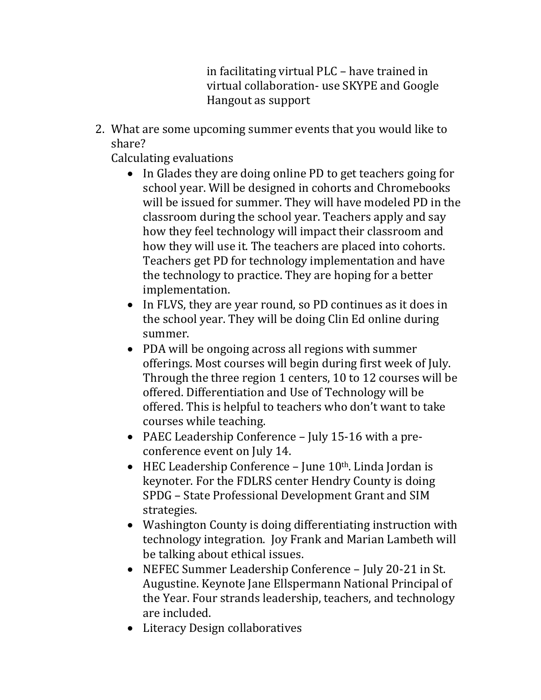in facilitating virtual PLC – have trained in virtual collaboration- use SKYPE and Google Hangout as support

2. What are some upcoming summer events that you would like to share?

Calculating evaluations

- In Glades they are doing online PD to get teachers going for school year. Will be designed in cohorts and Chromebooks will be issued for summer. They will have modeled PD in the classroom during the school year. Teachers apply and say how they feel technology will impact their classroom and how they will use it. The teachers are placed into cohorts. Teachers get PD for technology implementation and have the technology to practice. They are hoping for a better implementation.
- In FLVS, they are year round, so PD continues as it does in the school year. They will be doing Clin Ed online during summer.
- PDA will be ongoing across all regions with summer offerings. Most courses will begin during first week of July. Through the three region 1 centers, 10 to 12 courses will be offered. Differentiation and Use of Technology will be offered. This is helpful to teachers who don't want to take courses while teaching.
- PAEC Leadership Conference July 15-16 with a preconference event on July 14.
- $\bullet$  HEC Leadership Conference June 10<sup>th</sup>. Linda Jordan is keynoter. For the FDLRS center Hendry County is doing SPDG – State Professional Development Grant and SIM strategies.
- Washington County is doing differentiating instruction with technology integration. Joy Frank and Marian Lambeth will be talking about ethical issues.
- NEFEC Summer Leadership Conference July 20-21 in St. Augustine. Keynote Jane Ellspermann National Principal of the Year. Four strands leadership, teachers, and technology are included.
- Literacy Design collaboratives